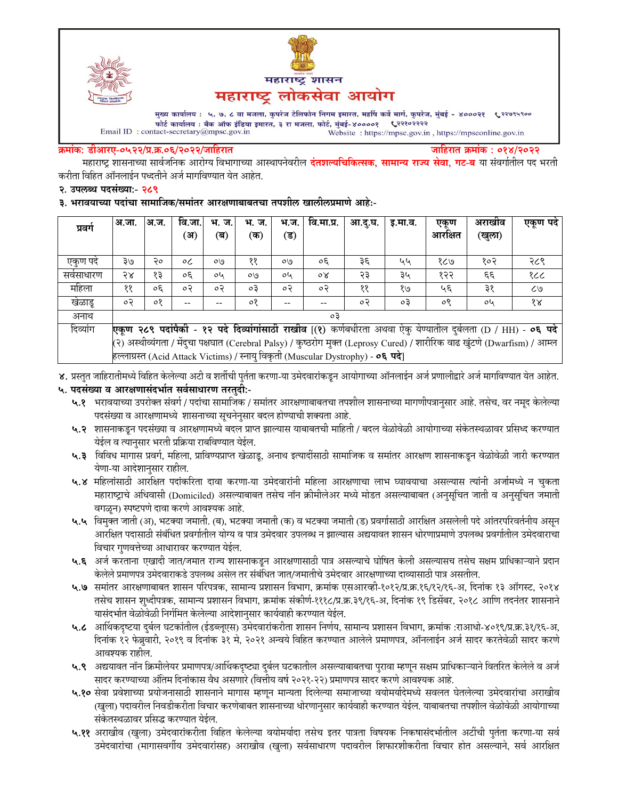



मुख्य कार्यालय : ५, ७, ८ वा मजला, कुपरेज टेलिफोन निगम इमारत, महर्षि कर्वे मार्ग, कुपरेज, मुंबई - ४०००२१ ९२९९९९०० फोर्ट कार्यालय : बँक ऑफ इंडिया इमारत, ३ रा मजला, फोर्ट, मुंबई-४००००१ ९२२१०२२२२  $\label{eq:1} \textbf{Email ID: contact-secretary@mpsc.gov.in}$ Website: https://mpsc.gov.in, https://mpsconline.gov.in

#### क्रमांक: डीआरए-०५२२/प्र.क्र.०६/२०२२/जाहिरात

जाहिरात क्रमांक : ०१४/२०२२

महाराष्ट्र शासनाच्या सार्वजनिक आरोग्य विभागाच्या आस्थापनेवरील **दंतशल्यचिकित्सक, सामान्य राज्य सेवा, गट-ब** या संवर्गातील पद भरती करीता विहित ऑनलाईन पध्दतीने अर्ज मार्गावण्यात येत आहेत.

#### २. उपलब्ध पदसंख्या:- २८९

३. भरावयाच्या पदांचा सामाजिक/समांतर आरक्षणाबाबतचा तपशील खालीलप्रमाणे आहे:-

| प्रवर्ग    | अ.जा.                                                                                                                       | अ.ज. | वि.जा.  | भ. ज. | भ. ज.     | भ.ज.    | वि.मा.प्र.       | आ.दू.घ. | इ.मा.व. | एकण     | अराखीव | एकूण पदे             |
|------------|-----------------------------------------------------------------------------------------------------------------------------|------|---------|-------|-----------|---------|------------------|---------|---------|---------|--------|----------------------|
|            |                                                                                                                             |      | (अ      | (ब)   | (क)       | (ड)     |                  |         |         | आरक्षित | (खुला) |                      |
|            |                                                                                                                             |      |         |       |           |         |                  |         |         |         |        |                      |
| एकूण पदे   | २७                                                                                                                          | २०   | $\circ$ | O(9)  | ११        | OQ      | $\circ \epsilon$ | ३६      | ५५      | १८७     | १०२    | २८९                  |
| सर्वसाधारण | २४                                                                                                                          | १३   | oξ      | oh    | OQ        | oh      | oγ               | २३      | ३५      | १२२     | ٤٤     | १८८                  |
| महिला      | ११                                                                                                                          | oξ   | ०२      | ०२    | $\circ$ 3 | $\circ$ | $\circ$          | ११      | १७      | ५६      | ३१     | ८७                   |
| खेळाडू     | ०२                                                                                                                          | ०१   |         |       | ०१        |         | --               | ०२      | оĘ      | ०९      | oh     | $\delta \mathcal{R}$ |
| अनाथ       | oЗ                                                                                                                          |      |         |       |           |         |                  |         |         |         |        |                      |
| दिव्यांग   | एकूण २८९ पदांपैकी - १२ पदे दिव्यांगांसाठी राखीव [(१) कर्णबधीरता अथवा ऐकु येण्यातील दुर्बलता (D / HH) - ०६ पदे               |      |         |       |           |         |                  |         |         |         |        |                      |
|            | (२) अस्थीव्यंगता / मेंदुचा पक्षघात (Cerebral Palsy) / कुष्ठरोग मुक्त (Leprosy Cured) / शारीरिक वाढ खुंटणे (Dwarfism) / आम्ल |      |         |       |           |         |                  |         |         |         |        |                      |
|            | हल्लाग्रस्त (Acid Attack Victims) / स्नाय विकृती (Muscular Dystrophy) - ०६ पदे।                                             |      |         |       |           |         |                  |         |         |         |        |                      |

४. प्रस्तुत जाहिरातीमध्ये विहित केलेल्या अटी व शर्तीची पुर्तता करणा-या उमेदवारांकडून आयोगाच्या ऑनलाईन अर्ज प्रणालीद्वारे अर्ज मार्गावण्यात येत आहेत.

### ५. पदसंख्या व आरक्षणासंदर्भात सर्वसाधारण तरतुदी:-

- ५.१ भरावयाच्या उपरोक्त संवर्ग / पदांचा सामाजिक / समांतर आरक्षणाबाबतचा तपशील शासनाच्या मागणीपत्रानुसार आहे. तसेच, वर नमूद केलेल्या पदसंख्या व आरक्षणामध्ये शासनाच्या सूचनेनुसार बदल होण्याची शक्यता आहे.
- ५.२ शासनाकडून पदसंख्या व आरक्षणामध्ये बदल प्राप्त झाल्यास याबाबतची माहिती / बदल वेळोवेळी आयोगाच्या संकेतस्थळावर प्रसिध्द करण्यात येईल व त्यानुसार भरती प्रक्रिया राबविण्यात येईल.
- ५.३ विविध मागास प्रवर्ग, महिला, प्राविण्यप्राप्त खेळाडू, अनाथ इत्यादींसाठी सामाजिक व समांतर आरक्षण शासनाकडून वेळोवेळी जारी करण्यात येणा-या आदेशानुसार राहील.
- ५.४ महिलांसाठी आरक्षित पदांकरिता दावा करणा-या उमेदवारांनी महिला आरक्षणाचा लाभ घ्यावयाचा असल्यास त्यांनी अर्जामध्ये न चुकता महाराष्ट्राचे अधिवासी (Domiciled) असल्याबाबत तसेच नॉन क्रीमीलेअर मध्ये मोडत असल्याबाबत (अनुसूचित जाती व अनुसूचित जमाती वगळून) स्पष्टपणे दावा करणे आवश्यक आहे.
- ५.५ विमुक्त जाती (अ), भटक्या जमाती. (ब), भटक्या जमाती (क) व भटक्या जमाती (ड) प्रवर्गासाठी आरक्षित असलेली पदे आंतरपरिवर्तनीय असून आरक्षित पदासाठी संबंधित प्रवर्गातील योग्य व पात्र उमेदवार उपलब्ध न झाल्यास अद्ययावत शासन धोरणाप्रमाणे उपलब्ध प्रवर्गातील उमेदवाराचा विचार गुणवत्तेच्या आधारावर करण्यात येईल.
- ५.६ अर्ज करताना एखादी जात/जमात राज्य शासनाकडून आरक्षणासाठी पात्र असल्याचे घोषित केली असल्यासच तसेच सक्षम प्राधिकाऱ्याने प्रदान केलेले प्रमाणपत्र उमेदवाराकडे उपलब्ध असेल तर संबंधित जात/जमातीचे उमेदवार आरक्षणाच्या दाव्यासाठी पात्र असतील.
- ५.७ समांतर आरक्षणाबाबत शासन परिपत्रक, सामान्य प्रशासन विभाग, क्रमांक एसआरव्ही-१०१२/प्र.क्र.१६/१२/१६-अ, दिनांक १३ ऑगस्ट, २०१४ तसेच शासन शुध्दीपत्रक, सामान्य प्रशासन विभाग, क्रमांक संकोर्ण-१११८/प्र.क्र.३९/१६-अ, दिनांक १९ डिसेंबर, २०१८ आणि तदनंतर शासनाने यासंदर्भात वेळोवेळी निर्गमित केलेल्या आदेशानुसार कार्यवाही करण्यात येईल.
- ५.८ आर्थिकदृष्टया दुर्बल घटकांतील (ईडब्लूएस) उमेदवारांकरीता शासन निर्णय, सामान्य प्रशासन विभाग, क्रमांक :राआधो-४०१९/प्र.क्र.३१/१६-अ, दिनांक १२ फेब्रुवारी, २०१९ व दिनांक ३१ मे, २०२१ अन्वये विहित करण्यात आलेले प्रमाणपत्र, ऑनलाईन अर्ज सादर करतेवेळी सादर करणे आवश्यक राहील.
- ५.९ अद्ययावत नॉन क्रिमीलेयर प्रमाणपत्र/आर्थिकदृष्ट्या दुर्बल घटकातील असल्याबाबतचा पुरावा म्हणून सक्षम प्राधिकाऱ्याने वितरित केलेले व अर्ज सादर करण्याच्या अंतिम दिनांकास वैध असणारे (वित्तीय वर्ष २०२१-२२) प्रमाणपत्र सादर करणे आवश्यक आहे.
- ५.१० सेवा प्रवेशाच्या प्रयोजनासाठी शासनाने मागास म्हणून मान्यता दिलेल्या समाजाच्या वयोमर्यादेमध्ये सवलत घेतलेल्या उमेदवारांचा अराखीव (खुला) पदावरील निवडीकरीता विचार करणेबाबत शासनाच्या धोरणानुसार कार्यवाही करण्यात येईल. याबाबतचा तपशील वेळोवेळी आयोगाच्या संकेतस्थळावर प्रसिद्ध करण्यात येईल.
- ५.११ अराखीव (खुला) उमेदवारांकरीता विहित केलेल्या वयोमर्यादा तसेच इतर पात्रता विषयक निकषासंदर्भातील अटींची पुर्तता करणा-या सर्व उमेदवारांचा (मागासवर्गीय उमेदवारांसह) अराखीव (खुला) सर्वसाधारण पदावरील शिफारशीकरीता विचार होत असल्याने, सर्व आरक्षित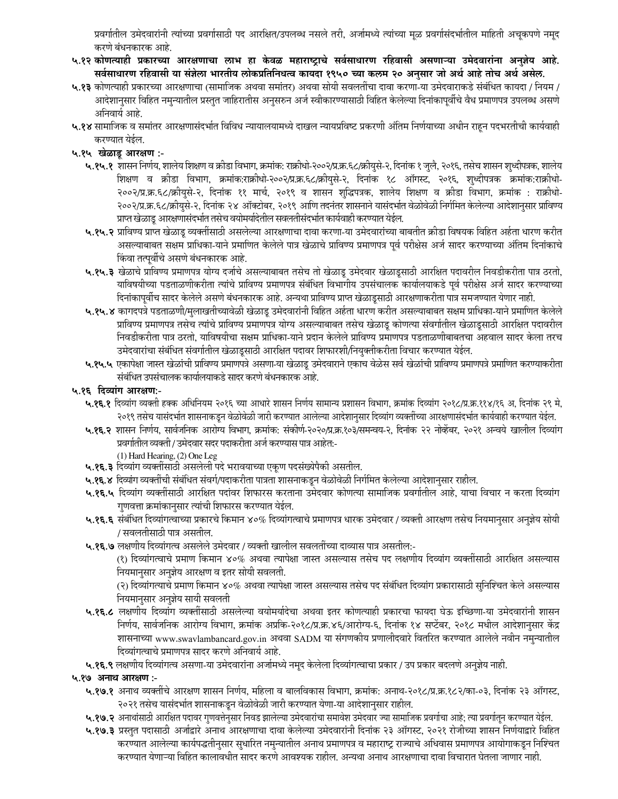प्रवर्गातील उमेदवारांनी त्यांच्या प्रवर्गासाठी पद आरक्षित/उपलब्ध नसले तरी, अर्जामध्ये त्यांच्या मूळ प्रवर्गासंदभांतील माहिती अचूकपणे नमूद करणे बंधनकारक आहे.

- ५.१२ कोणत्याही प्रकारच्या आरक्षणाचा लाभ हा केवळ महाराष्ट्राचे सर्वसाधारण रहिवासी असणाऱ्या उमेदवारांना अनुज्ञेय आहे. सर्वसाधारण रहिवासी या संज्ञेला भारतीय लोकप्रतिनिधत्व कायदा १९५० च्या कलम २० अनुसार जो अर्थ आहे तोच अर्थ असेल.
- ५.१३ कोणत्याही प्रकारच्या आरक्षणाचा (सामाजिक अथवा समांतर) अथवा सोयी सवलतींचा दावा करणा-या उमेदवाराकडे संबंधित कायदा / नियम / आदेशानुसार विहित नमुन्यातील प्रस्तुत जाहिरातीस अनुसरुन अर्ज स्वीकारण्यासाठी विहित केलेल्या दिनांकापूर्वीचे वैध प्रमाणपत्र उपलब्ध असणे अनिवार्य आहे.
- ५.१४ सामाजिक व समांतर आरक्षणासंदर्भात विविध न्यायालयामध्ये दाखल न्यायप्रविष्ट प्रकरणी अंतिम निर्णयाच्या अधीन राहून पदभरतीची कार्यवाही करण्यात येईल.

## ५.१५ खेळाडू आरक्षण :-

- ५.१५.१ शासन निर्णय, शालेय शिक्षण व क्रीडा विभाग, क्रमांक: राक्रीधो-२००२/प्र.क्र.६८/क्रीयुसे-२, दिनांक १ जुलै, २०१६, तसेच शासन शुध्दीपत्रक, शालेय शिक्षण व क्रीडा विभाग, क्रमांक:राक्रीधो-२००२/प्र.क.६८/क्रीयुसे-२, दिनांक १८ ऑगस्ट, २०१६, शुध्दीपत्रक क्रमांक:राक्रीधो-२००२/प्र.क्र.६८/क्रीयुसे-२, दिनांक ११ मार्च, २०१९ व शासन शुद्धिपत्रक, शालेय शिक्षण व क्रीडा विभाग, क्रमांक : राक्रीधो-२००२/प्र.क्र.६८/क्रीयुसे-२, दिनांक २४ ऑक्टोबर, २०१९ आणि तदनंतर शासनाने यासंदर्भात वेळोवेळी निर्गमित केलेल्या आदेशानुसार प्राविण्य प्राप्त खेळाडू आरक्षणासंदर्भात तसेच वयोमर्यादेतील सवलतीसंदर्भात कार्यवाही करण्यात येईल.
- ५.१५.२ प्राविण्य प्राप्त खेळाडू व्यक्तींसाठी असलेल्या आरक्षणाचा दावा करणा-या उमेदवारांच्या बाबतीत क्रीडा विषयक विहित अर्हता धारण करीत असल्याबाबत सक्षम प्राधिका-याने प्रमाणित केलेले पात्र खेळाचे प्राविण्य प्रमाणपत्र पूर्व परीक्षेस अर्ज सादर करण्याच्या अंतिम दिनांकाचे किंवा तत्पूर्वीचे असणे बंधनकारक आहे.
- ५.१५.३ खेळाचे प्राविण्य प्रमाणपत्र योग्य दर्जाचे असल्याबाबत तसेच तो खेळाडू उमेदवार खेळाडूसाठी आरक्षित पदावरील निवडीकरीता पात्र ठरतो, याविषयीच्या पडताळणीकरीता त्यांचे प्राविण्य प्रमाणपत्र संबंधित विभागीय उपसंचालक कार्यालयाकडे पूर्व परीक्षेस अर्ज सादर करण्याच्या दिनांकापूर्वीच सादर केलेले असणे बंधनकारक आहे. अन्यथा प्राविण्य प्राप्त खेळाडूसाठी आरक्षणाकरीता पात्र समजण्यात येणार नाही.
- ५.१५.४ कागदपत्रे पडताळणी/मुलाखतीच्यावेळी खेळाडू उमेदवारांनी विहित अर्हता धारण करीत असल्याबाबत सक्षम प्राधिका-याने प्रमाणित केलेले प्राविण्य प्रमाणपत्र तसेच त्यांचे प्राविण्य प्रमाणपत्र योग्य असल्याबाबत तसेच खेळाडू कोणत्या संवर्गातील खेळाडूसाठी आरक्षित पदावरील निवडीकरीता पात्र ठरतो, याविषयीचा सक्षम प्राधिका-याने प्रदान केलेले प्राविण्य प्रमाणपत्र पडताळणीबाबतचा अहवाल सादर केला तरच उमेदवारांचा संबंधित संवर्गातील खेळाडूसाठी आरक्षित पदावर शिफारशी/नियुक्तीकरीता विचार करण्यात येईल.
- ५.१५.५ एकापेक्षा जास्त खेळांची प्राविण्य प्रमाणपत्रे असणा-या खेळाडू उमेदवाराने एकाच वेळेस सर्व खेळांची प्राविण्य प्रमाणपत्रे प्रमाणित करण्याकरीता संबंधित उपसंचालक कार्यालयाकडे सादर करणे बंधनकारक आहे.

## ५.१६ दिव्यांग आरक्षण:-

- ५.**१६.१** दिव्यांग व्यक्ती हक्क अधिनियम २०१६ च्या आधारे शासन निर्णय सामान्य प्रशासन विभाग, क्रमांक दिव्यांग २०१८/प्र.क्र.११४/१६ अ, दिनांक २९ मे, २०१९ तसेच यासंदर्भात शासनाकडून वेळोवेळी जारी करण्यात आलेल्या आदेशानुसार दिव्यांग व्यक्तींच्या आरक्षणासंदर्भात कार्यवाही करण्यात येईल.
- ५.१६.२ शासन निर्णय, सार्वजनिक आरोग्य विभाग, क्रमांक: संकीर्ण-२०२०/प्र.क्र.१०३/समन्वय-२, दिनांक २२ नोव्हेंबर, २०२१ अन्वये खालील दिव्यांग प्रवर्गातील व्यक्ती / उमेदवार सदर पदाकरीता अर्ज करण्यास पात्र आहेत:-

### (1) Hard Hearing, (2) One Leg

- ५.१६.३ दिव्यांग व्यक्तींसाठी असलेली पदे भरावयाच्या एकूण पदसंख्येपैकी असतील.
- ५.**१६.४** दिव्यांग व्यक्तींची संबंधित संवर्ग/पदाकरीता पात्रता शासनाकडून वेळोवेळी निर्गमित केलेल्या आदेशानुसार राहील.
- ५.१६.५ दिव्यांग व्यक्तींसाठी आरक्षित पदांवर शिफारस करताना उमेदवार कोणत्या सामाजिक प्रवर्गातील आहे, याचा विचार न करता दिव्यांग गुणवत्ता क्रमांकानुसार त्यांची शिफारस करण्यात येईल.
- **५.१६.६** संबंधित दिव्यांगत्वाच्या प्रकारचे किमान ४०% दिव्यांगत्वाचे प्रमाणपत्र धारक उमेदवार / व्यक्ती आरक्षण तसेच नियमानुसार अनुज्ञेय सोयी / सवलतीसाठी पात्र असतील.
- ५.१६.७ लक्षणीय दिव्यांगत्व असलेले उमेदवार / व्यक्ती खालील सवलतींच्या दाव्यास पात्र असतील:-

(१) दिव्यांगत्वाचे प्रमाण किमान ४०% अथवा त्यापेक्षा जास्त असल्यास तसेच पद लक्षणीय दिव्यांग व्यक्तींसाठी आरक्षित असल्यास नियमानुसार अनुज्ञेय आरक्षण व इतर सोयी सवलती.

(२) दिव्यांगत्याचे प्रमाण किमान ४०% अथवा त्यापेक्षा जास्त असल्यास तसेच पद संबंधित दिव्यांग प्रकारासाठी सुनिश्चित केले असल्यास नियमानुसार अनुज्ञेय सायी सवलती

- ५.१६.८ लक्षणीय दिव्यांग व्यक्तींसाठी असलेल्या वयोमर्यादेचा अथवा इतर कोणत्याही प्रकारचा फायदा घेऊ इच्छिणा-या उमेदवारांनी शासन निर्णय, सार्वजनिक आरोग्य विभाग, क्रमांक अप्रकि-२०१८/प्र.क्र.४६/आरोग्य-६, दिनांक १४ सप्टेंबर, २०१८ मधील आदेशानुसार केंद्र शासनाच्या www.swavlambancard.gov.in अथवा SADM या संगणकीय प्रणालीदवारे वितरित करण्यात आलेले नवीन नमुन्यातील दिव्यांगत्वाचे प्रमाणपत्र सादर करणे अनिवाये आहे.
- ५.**१६.९** लक्षणीय दिव्यांगत्व असणा-या उमेदवारांना अर्जामध्ये नमूद केलेला दिव्यांगत्वाचा प्रकार / उप प्रकार बदलणे अनुज्ञेय नाही.

५.१७ अनाथ आरक्षण :-

- ५.१७.१ अनाथ व्यक्तींचे आरक्षण शासन निर्णय, महिला व बालविकास विभाग, क्रमांक: अनाथ-२०१८/प्र.क्र.१८२/का-०३, दिनांक २३ ऑगस्ट, २०२१ तसेच यासंदर्भात शासनाकडून वेळोवेळी जारी करण्यात येणा-या आदेशानुसार राहील.
- ५.१७.२ अनाथांसाठी आरक्षित पदावर गुणवत्तेनुसार निवड झालेल्या उमेदवारांचा समावेश उमेदवार ज्या सामाजिक प्रवर्गाचा आहे; त्या प्रवर्गातून करण्यात येईल.
- ५.१७.३ प्रस्तुत पदासाठी अर्जाद्वारे अनाथ आरक्षणाचा दावा केलेल्या उमेदवारांनी दिनांक २३ ऑगस्ट, २०२१ रोजीच्या शासन निर्णयाद्वारे विहित करण्यात आलेल्या कार्यपद्धतीनुसार सुधारित नमुन्यातील अनाथ प्रमाणपत्र व महाराष्ट्र राज्याचे अधिवास प्रमाणपत्र आयोगाकडून निश्चित करण्यात येणाऱ्या विहित कालावधीत सादर करणे आवश्यक राहील. अन्यथा अनाथ आरक्षणाचा दावा विचारात घेतला जाणार नाही.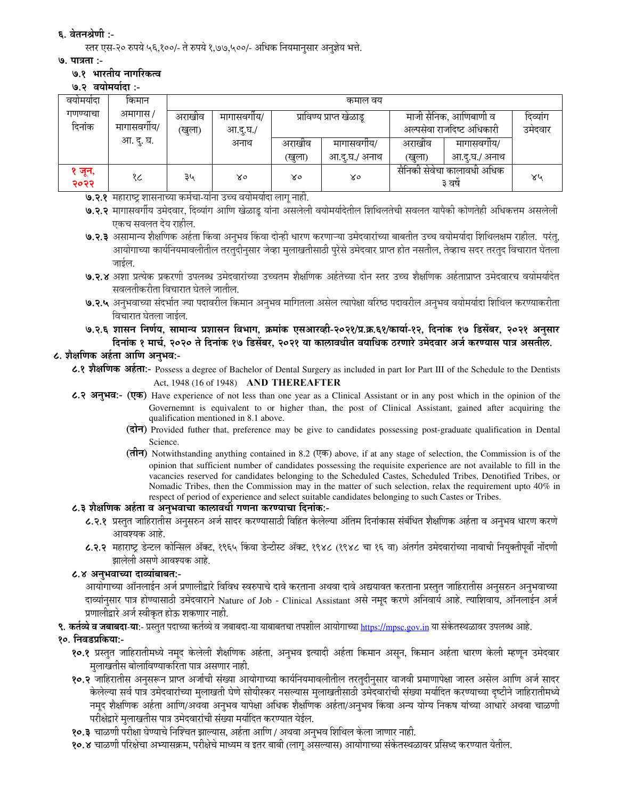### ६. वेतनश्रेणी :-

स्तर एस-२० रुपये ५६,१००/- ते रुपये १,७७,५००/- अधिक नियमानुसार अनुज्ञेय भत्ते.

#### ७. पात्रता :-

### ७.१ भारतीय नागरिकत्व

७.२ वयोमर्यादा :-

| वयामयादा           | किमान                    |                  |                       |                          | कमाल वय       |                                                    |               |                     |
|--------------------|--------------------------|------------------|-----------------------|--------------------------|---------------|----------------------------------------------------|---------------|---------------------|
| गणण्याचा<br>दिनांक | अमागास /<br>मागासवर्गीय/ | अराखीव<br>(खुला) | मागासवगीय/<br>आ.द.घ./ | प्राविण्य प्राप्त खेळाडू |               | माजी सैनिक, आणिबाणी व<br>अल्पसेवा राजदिष्ट अधिकारी |               | दिव्यांग<br>उमेदवार |
|                    | आ. दु. घ.                |                  | अनाथ                  | अराखीव                   | मागासवगीय/    | अराखीव                                             | मागासवगीय/    |                     |
|                    |                          |                  |                       | खुला)                    | आ.दु.घ./ अनाथ | (खुला)                                             | आ.दु.घ./ अनाथ |                     |
| १ जून,<br>२०२२     | १८                       | ३५               | ४०                    | X٥                       | ४०            | सैनिकी सेवेचा कालावधी अधिक<br>३ वर्ष               |               | ४५                  |

७.२.१ महाराष्ट्र शासनाच्या कर्मचा-यांना उच्च वयोमर्यादा लागू नाही.

- ७.२.२ मागासवर्गीय उमेदवार, दिव्यांग आणि खेळाडू यांना असलेली वयोमर्यादेतील शिथिलतेची सवलत यापैकी कोणतेही अधिकत्तम असलेली एकच सवलत देय राहील.
- ७.२.३ असामान्य शैक्षणिक अर्हता किंवा अनुभव किंवा दोन्ही धारण करणाऱ्या उमेदवारांच्या बाबतीत उच्च वयोमर्यादा शिथिलक्षम राहील. परंतु, आयोगाच्या कार्यनियमावलीतील तरतुदीनुसार जेव्हा मुलाखतीसाठी पुरेसे उमेदवार प्राप्त होत नसतील, तेव्हाच सदर तरतुद विचारात घेतला जाईल.
- ७.२.४ अशा प्रत्येक प्रकरणी उपलब्ध उमेदवारांच्या उच्चतम शैक्षणिक अर्हतेच्या दोन स्तर उच्च शैक्षणिक अर्हताप्राप्त उमेदवारच वयोमर्यादेत सवलतीकरीता विचारात घेतले जातील.
- ७.२.५ अनुभवाच्या संदर्भात ज्या पदावरील किमान अनुभव मागितला असेल त्यापेक्षा वरिष्ठ पदावरील अनुभव वयोमर्यादा शिथिल करण्याकरीता विचारात घेतला जाईल.
- ७.२.६ शासन निर्णय, सामान्य प्रशासन विभाग, क्रमांक एसआरव्ही-२०२१/प्र.क्र.६१/कार्या-१२, दिनांक १७ डिसेंबर, २०२१ अनुसार दिनांक १ मार्च, २०२० ते दिनांक १७ डिसेंबर, २०२१ या कालावधीत वयाधिक ठरणारे उमेदवार अर्ज करण्यास पात्र असतील.

# ८. शैक्षणिक अर्हता आणि अनुभव:-

८.१ शैक्षणिक अर्हता:- Possess a degree of Bachelor of Dental Surgery as included in part Ior Part III of the Schedule to the Dentists Act, 1948 (16 of 1948) AND THEREAFTER

- ८.२ अनुभव:- (एक) Have experience of not less than one year as a Clinical Assistant or in any post which in the opinion of the Governemnt is equivalent to or higher than, the post of Clinical Assistant, gained after acquiring the qualification mentioned in 8.1 above.
	- (दोन) Provided futher that, preference may be give to candidates possessing post-graduate qualification in Dental Science.
	- $(\overrightarrow{\pi}$ ) Notwithstanding anything contained in 8.2 ( $(\overrightarrow{\pi})$  above, if at any stage of selection, the Commission is of the opinion that sufficient number of candidates possessing the requisite experience are not available to fill in the vacancies reserved for candidates belonging to the Scheduled Castes, Scheduled Tribes, Denotified Tribes, or Nomadic Tribes, then the Commission may in the matter of such selection, relax the requirement upto 40% in respect of period of experience and select suitable candidates belonging to such Castes or Tribes.

### ८.३ शैक्षणिक अर्हता व अनुभवाचा कालावधी गणना करण्याचा दिनांक:-

- ८.२.१ प्रस्तुत जाहिरातीस अनुसरुन अर्ज सादर करण्यासाठी विहित केलेल्या अंतिम दिनांकास संबंधित शैक्षणिक अर्हता व अनुभव धारण करणे आवश्यक आहे.
- ८.२.२ महाराष्ट्र डेन्टल कोन्सिल ॲक्ट, १९६५ किंवा डेन्टीस्ट ॲक्ट, १९४८ (१९४८ चा १६ वा) अंतर्गत उमेदवारांच्या नावाची नियुक्तीपूर्वी नोंदणी झालेली असणे आवश्यक आहे.

### ८.४ अनुभवाच्या दाव्यांबाबत:-

आयोगाच्या ऑनलाईन अर्ज प्रणालीद्वारे विविध स्वरुपाचे दावे करताना अथवा दावे अद्ययावत करताना प्रस्तुत जाहिरातीस अनुसरुन अनुभवाच्या दाव्यांनुसार पात्र होण्यासाठी उमेदवाराने Nature of Job - Clinical Assistant असे नमूद करणे अनिवार्य आहे. त्याशिवाय, ऑनलाईन अर्ज प्रणालीद्वारे अर्ज स्वीकृत होऊ शकणार नाही.

९. कर्तव्ये व जबाबदा-या:- प्रस्तुत पदाच्या कर्तव्ये व जबाबदा-या याबाबतचा तपशील आयोगाच्या https://mpsc.gov.in या संकेतस्थळावर उपलब्ध आहे.

## १०. निवडप्रकिया:-

- १०.१ प्रस्तुत जाहिरातीमध्ये नमूद केलेली शैक्षणिक अर्हता, अनुभव इत्यादी अर्हता किमान असून, किमान अर्हता धारण केली म्हणून उमेदवार मुलाखतीस बोलाविण्याकरिता पात्र असणार नाही.
- १०.२ जाहिरातीस अनुसरून प्राप्त अर्जाची संख्या आयोगाच्या कार्यनियमावलीतील तरतुदीनुसार वाजवी प्रमाणापेक्षा जास्त असेल आणि अर्ज सादर केलेल्या सर्व पात्र उमेदवारांच्या मुलाखती घेणे सोयीस्कर नसल्यास मुलाखतीसाठी उमेदवारांची संख्या मर्यादित करण्याच्या दृष्टीने जाहिरातीमध्ये नमुद शैक्षणिक अर्हता आणि/अथवा अनुभव यापेक्षा अधिक शैक्षणिक अर्हता/अनुभव किंवा अन्य योग्य निकष यांच्या आधारे अथवा चाळणी परीक्षेद्वारे मलाखतीस पात्र उमेदवारांची संख्या मर्यादित करण्यात येईल.
- १०.३ चाळणी परीक्षा घेण्याचे निश्चित झाल्यास, अर्हता आणि / अथवा अनुभव शिथिल केला जाणार नाही.
- १०.४ चाळणी परिक्षेचा अभ्यासक्रम. परीक्षेचे माध्यम व इतर बाबी (लाग असल्यास) आयोगाच्या संकेतस्थळावर प्रसिध्द करण्यात येतील.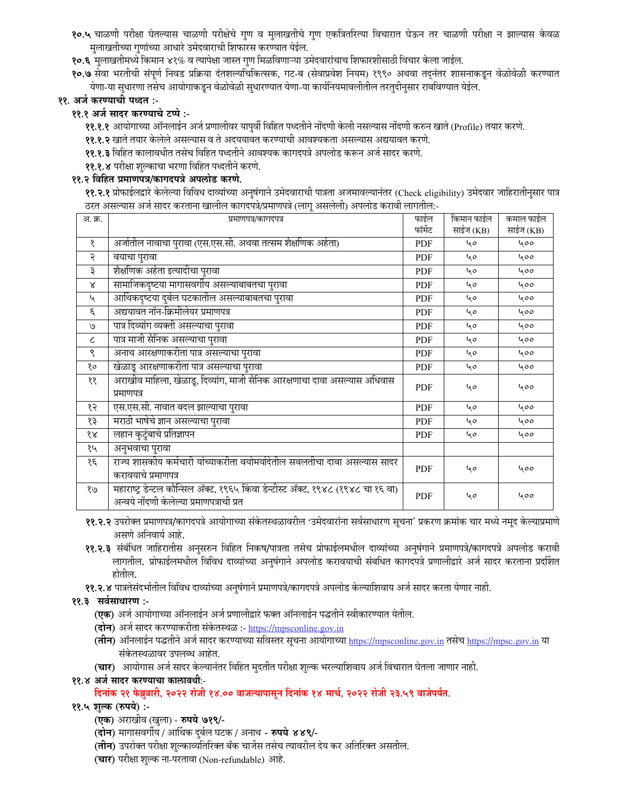- १०.५ चाळणी परीक्षा घेतल्यास चाळणी परीक्षेचे गुण व मुलाखतीचे गुण एकत्रितरित्या विचारात घेऊन तर चाळणी परीक्षा न झाल्यास केवळ मुलाखतीच्या गुणांच्या आधारे उमेदवाराची शिफारस करण्यात येईल.
- १०.६ मुलाखतीमध्ये किमान ४१% व त्यापेक्षा जास्त गुण मिळविणाऱ्या उमेदवारांचाच शिफारशीसाठी विचार केला जाईल.
- १०.७ सेवा भरतीची संपूर्ण निवड प्रक्रिया दंतशल्यचिकित्सक, गट-ब (सेवाप्रवेश नियम) १९९० अथवा तदनंतर शासनाकडून वेळोवेळी करण्यात येणा-या सुधारणा तसेच आयोगाकडून वेळोवेळी सुधारण्यात येणा-या कार्यानयमावलीतील तरतुदीनुसार राबविण्यात येईल.

## ११. अर्ज करण्याची पध्दत :-

### ११.१ अर्ज सादर करण्याचे टप्पे :-

११.१.१ आयोगाच्या ऑनलाईन अर्ज प्रणालीवर यापुर्वी विहित पध्दतीने नोंदणी केली नसल्यास नोंदणी करुन खाते (Profile) तयार करणे.

- ११.१.२ खाते तयार केलेले असल्यास व ते अदययावत करण्याची आवश्यकता असल्यास अद्ययावत करणे.
- ११.१.३ विहित कालावधीत तसेच विहित पध्दतीने आवश्यक कागदपत्रे अपलोड करून अर्ज सादर करणे.
- ११.१.४ परीक्षा शुल्काचा भरणा विहित पध्दतीने करणे.

### ११.२ विहित प्रमाणपत्र/कागदपत्रे अपलोड करणे.

११.२.१ प्रोफाईलद्वारे केलेल्या विविध दाव्यांच्या अनुषंगाने उमेदवाराची पात्रता अजमावल्यानंतर (Check eligibility) उमेदवार जाहिरातीनुसार पात्र ठरत असल्यास अर्ज सादर करताना खालील कागदपत्रे/प्रमाणपत्रे (लागू असलेली) अपलोड करावी लागतील:-

| अ. क्र.                     | प्रमाणपत्र/कागदपत्र                                                                                                          | फाईल       | किमान फाईल | कमाल फाईल |
|-----------------------------|------------------------------------------------------------------------------------------------------------------------------|------------|------------|-----------|
|                             |                                                                                                                              | फॉर्मेट    | साईज (KB)  | साईज (KB) |
| १                           | अर्जातील नावाचा पुरावा (एस.एस.सी. अथवा तत्सम शैक्षणिक अर्हता)                                                                | PDF        | 40         | 400       |
| २                           | वयाचा पुरावा                                                                                                                 | PDF        | 40         | 400       |
| ३                           | शैक्षणिक अर्हता इत्यादीचा पुरावा                                                                                             | <b>PDF</b> | 40         | 400       |
| Χ                           | सामाजिकदृष्टया मागासवर्गीय असल्याबाबतचा पुरावा                                                                               | PDF        | 40         | 400       |
| $\mathcal{L}_{\mathcal{A}}$ | आर्थिकदृष्टया दुर्बल घटकातील असल्याबाबतचा पुरावा                                                                             | <b>PDF</b> | 40         | 400       |
| ξ.                          | अद्ययावत नॉन-क्रिमीलेयर प्रमाणपत्र                                                                                           | <b>PDF</b> | 40         | 400       |
| ٯا                          | पात्र दिव्यांग व्यक्ती असल्याचा पुरावा                                                                                       | PDF        | 40         | 400       |
| $\epsilon$                  | पात्र माजी सैनिक असल्याचा पुरावा                                                                                             | <b>PDF</b> | 40         | 400       |
| ९                           | अनाथ आरक्षणाकरीता पात्र असल्याचा पुरावा                                                                                      | <b>PDF</b> | 40         | 400       |
| १०                          | खेळाडू आरक्षणाकरीता पात्र असल्याचा पुरावा                                                                                    | <b>PDF</b> | 40         | 400       |
| ११                          | अराखीव माहिला, खेळाडू, दिव्यांग, माजी सैनिक आरक्षणाचा दावा असल्यास अधिवास<br>प्रमाणपत्र                                      | <b>PDF</b> | 40         | 400       |
| १२                          | एस.एस.सी. नावात बदल झाल्याचा पुरावा                                                                                          | PDF        | 40         | 400       |
| १३                          | मराठी भाषेचे ज्ञान असल्याचा पुरावा                                                                                           | <b>PDF</b> | 40         | 400       |
| $\delta \mathcal{R}$        | लहान कुटुंबाचे प्रतिज्ञापन                                                                                                   | PDF        | 40         | 400       |
| १५                          | अनुभवाचा पुरावा                                                                                                              |            |            |           |
| १६                          | राज्य शासकीय कर्मचारी यांच्याकरीता वयोमर्यादेतील सवलतीचा दावा असल्यास सादर<br>करावयाचे प्रमाणपत्र                            | <b>PDF</b> | 40         | 400       |
| e/                          | महाराष्ट्र डेन्टल कौन्सिल ॲक्ट, १९६५ किंवा डेन्टीस्ट ॲक्ट, १९४८ (१९४८ चा १६ वा)<br>अन्वये नोंदणी केलेल्या प्रमाणपत्राची प्रत | <b>PDF</b> | 40         | 400       |

- ११.२.२ उपरोक्त प्रमाणपत्र/कागदपत्रे आयोगाच्या संकेतस्थळावरील 'उमेदवारांना सर्वसाधारण सूचना' प्रकरण क्रमांक चार मध्ये नमूद केल्याप्रमाणे असणे अनिवार्य आहे.
- ११.२.३ संबंधित जाहिरातीस अनुसरुन विहित निकष/पात्रता तसेच प्रोफाईलमधील दाव्यांच्या अनुषंगाने प्रमाणपत्रे/कागदपत्रे अपलोड करावी लागतील. प्रोफाईलमधील विविध दाव्यांच्या अनुषंगाने अपलोड करावयाची संबधित कागदपत्रे प्रणालीद्वारे अर्ज सादर करताना प्रदर्शित होतील.
- ११.२.४ पात्रतेसंदर्भातील विविध दाव्यांच्या अनुषंगाने प्रमाणपत्रे/कागदपत्रे अपलोड केल्याशिवाय अर्ज सादर करता येणार नाही.
- ११.३ सर्वसाधारण :-
	- **(एक)** अर्ज आयोगाच्या ऑनलाईन अर्ज प्रणालीद्वारे फक्त ऑनलाईन पद्धतीने स्वीकारण्यात येतील.
	- (दोन) अर्ज सादर करण्याकरीता संकेतस्थळ :- https://mpsconline.gov.in
	- (तीन) ऑनलाईन पद्धतीने अर्ज सादर करण्याच्या सविस्तर सूचना आयोगाच्या https://mpsconline.gov.in तसेच https://mpsc.gov.in या संकेतस्थळावर उपलब्ध आहेत.
	- (चार) आयोगास अर्ज सादर केल्यानंतर विहित मुदतीत परीक्षा शुल्क भरल्याशिवाय अर्ज विचारात घेतला जाणार नाही.
- ११.४ अर्ज सादर करण्याचा कालावधीः-

## दिनांक २१ फेब्रुवारी, २०२२ रोजी १४.०० वाजल्यापासून दिनांक १४ मार्च, २०२२ रोजी २३.५९ वाजेपर्यंत.

### ११.५ शुल्क (रुपये) :-

- (एक) अराखीव (खुला) रुपये ७१९/-
- (**दोन**) मागासवर्गीय / आर्थिक दुर्बल घटक / अनाथ **रुपये ४४९/**-
- (**तीन**) उपरोक्त परीक्षा शुल्काव्यतिरिक्त बँक चार्जेस तसेच त्यावरील देय कर अतिरिक्त असतील.
- (चार) परीक्षा शुल्क ना-परतावा (Non-refundable) आहे.